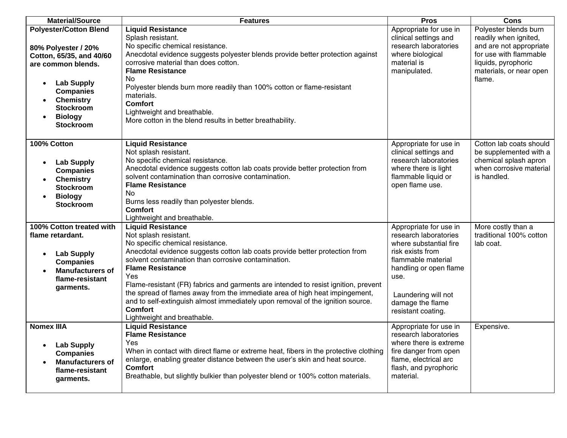| <b>Material/Source</b>                                                                                                                                                                                                                     | <b>Features</b>                                                                                                                                                                                                                                                                                                                                                                                                                                                                                                                                                       | <b>Pros</b>                                                                                                                                                                                                            | <b>Cons</b>                                                                                                                                                     |
|--------------------------------------------------------------------------------------------------------------------------------------------------------------------------------------------------------------------------------------------|-----------------------------------------------------------------------------------------------------------------------------------------------------------------------------------------------------------------------------------------------------------------------------------------------------------------------------------------------------------------------------------------------------------------------------------------------------------------------------------------------------------------------------------------------------------------------|------------------------------------------------------------------------------------------------------------------------------------------------------------------------------------------------------------------------|-----------------------------------------------------------------------------------------------------------------------------------------------------------------|
| <b>Polyester/Cotton Blend</b><br>80% Polyester / 20%<br>Cotton, 65/35, and 40/60<br>are common blends.<br><b>Lab Supply</b><br><b>Companies</b><br><b>Chemistry</b><br>$\bullet$<br><b>Stockroom</b><br><b>Biology</b><br><b>Stockroom</b> | <b>Liquid Resistance</b><br>Splash resistant.<br>No specific chemical resistance.<br>Anecdotal evidence suggests polyester blends provide better protection against<br>corrosive material than does cotton.<br><b>Flame Resistance</b><br>No.<br>Polyester blends burn more readily than 100% cotton or flame-resistant<br>materials.<br><b>Comfort</b><br>Lightweight and breathable.<br>More cotton in the blend results in better breathability.                                                                                                                   | Appropriate for use in<br>clinical settings and<br>research laboratories<br>where biological<br>material is<br>manipulated.                                                                                            | Polyester blends burn<br>readily when ignited,<br>and are not appropriate<br>for use with flammable<br>liquids, pyrophoric<br>materials, or near open<br>flame. |
| 100% Cotton<br><b>Lab Supply</b><br>$\bullet$<br><b>Companies</b><br><b>Chemistry</b><br><b>Stockroom</b><br><b>Biology</b><br>$\bullet$<br><b>Stockroom</b>                                                                               | <b>Liquid Resistance</b><br>Not splash resistant.<br>No specific chemical resistance.<br>Anecdotal evidence suggests cotton lab coats provide better protection from<br>solvent contamination than corrosive contamination.<br><b>Flame Resistance</b><br>N <sub>o</sub><br>Burns less readily than polyester blends.<br><b>Comfort</b><br>Lightweight and breathable.                                                                                                                                                                                                | Appropriate for use in<br>clinical settings and<br>research laboratories<br>where there is light<br>flammable liquid or<br>open flame use.                                                                             | Cotton lab coats should<br>be supplemented with a<br>chemical splash apron<br>when corrosive material<br>is handled.                                            |
| 100% Cotton treated with<br>flame retardant.<br><b>Lab Supply</b><br>$\bullet$<br><b>Companies</b><br><b>Manufacturers of</b><br>flame-resistant<br>garments.                                                                              | <b>Liquid Resistance</b><br>Not splash resistant.<br>No specific chemical resistance.<br>Anecdotal evidence suggests cotton lab coats provide better protection from<br>solvent contamination than corrosive contamination.<br><b>Flame Resistance</b><br>Yes<br>Flame-resistant (FR) fabrics and garments are intended to resist ignition, prevent<br>the spread of flames away from the immediate area of high heat impingement,<br>and to self-extinguish almost immediately upon removal of the ignition source.<br><b>Comfort</b><br>Lightweight and breathable. | Appropriate for use in<br>research laboratories<br>where substantial fire<br>risk exists from<br>flammable material<br>handling or open flame<br>use.<br>Laundering will not<br>damage the flame<br>resistant coating. | More costly than a<br>traditional 100% cotton<br>lab coat.                                                                                                      |
| <b>Nomex IIIA</b><br><b>Lab Supply</b><br>$\bullet$<br><b>Companies</b><br><b>Manufacturers of</b><br>flame-resistant<br>garments.                                                                                                         | <b>Liquid Resistance</b><br><b>Flame Resistance</b><br>Yes<br>When in contact with direct flame or extreme heat, fibers in the protective clothing<br>enlarge, enabling greater distance between the user's skin and heat source.<br><b>Comfort</b><br>Breathable, but slightly bulkier than polyester blend or 100% cotton materials.                                                                                                                                                                                                                                | Appropriate for use in<br>research laboratories<br>where there is extreme<br>fire danger from open<br>flame, electrical arc<br>flash, and pyrophoric<br>material.                                                      | Expensive.                                                                                                                                                      |